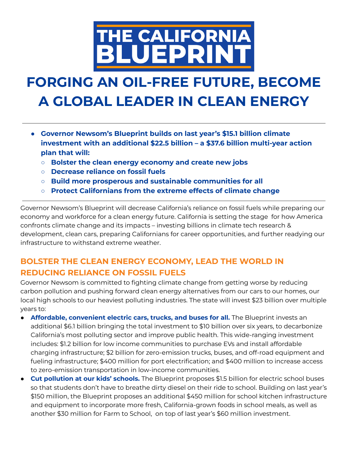

## **FORGING AN OIL-FREE FUTURE, BECOME A GLOBAL LEADER IN CLEAN ENERGY**

- **● Governor Newsom's Blueprint builds on last year's \$15.1 billion climate investment with an additional \$22.5 billion – a \$37.6 billion multi-year action plan that will:**
	- **○ Bolster the clean energy economy and create new jobs**
	- **○ Decrease reliance on fossil fuels**
	- **○ Build more prosperous and sustainable communities for all**
	- **○ Protect Californians from the extreme effects of climate change**

Governor Newsom's Blueprint will decrease California's reliance on fossil fuels while preparing our economy and workforce for a clean energy future. California is setting the stage for how America confronts climate change and its impacts – investing billions in climate tech research & development, clean cars, preparing Californians for career opportunities, and further readying our infrastructure to withstand extreme weather.

## **BOLSTER THE CLEAN ENERGY ECONOMY, LEAD THE WORLD IN REDUCING RELIANCE ON FOSSIL FUELS**

Governor Newsom is committed to fighting climate change from getting worse by reducing carbon pollution and pushing forward clean energy alternatives from our cars to our homes, our local high schools to our heaviest polluting industries. The state will invest \$23 billion over multiple years to:

- **Affordable, convenient electric cars, trucks, and buses for all.** The Blueprint invests an additional \$6.1 billion bringing the total investment to \$10 billion over six years, to decarbonize California's most polluting sector and improve public health. This wide-ranging investment includes: \$1.2 billion for low income communities to purchase EVs and install affordable charging infrastructure; \$2 billion for zero-emission trucks, buses, and off-road equipment and fueling infrastructure; \$400 million for port electrification; and \$400 million to increase access to zero-emission transportation in low-income communities.
- **Cut pollution at our kids' schools.** The Blueprint proposes \$1.5 billion for electric school buses so that students don't have to breathe dirty diesel on their ride to school. Building on last year's \$150 million, the Blueprint proposes an additional \$450 million for school kitchen infrastructure and equipment to incorporate more fresh, California-grown foods in school meals, as well as another \$30 million for Farm to School, on top of last year's \$60 million investment.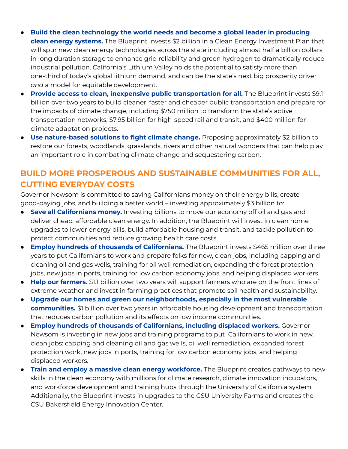- **Build the clean technology the world needs and become a global leader in producing clean energy systems.** The Blueprint invests \$2 billion in a Clean Energy Investment Plan that will spur new clean energy technologies across the state including almost half a billion dollars in long duration storage to enhance grid reliability and green hydrogen to dramatically reduce industrial pollution. California's Lithium Valley holds the potential to satisfy more than one-third of today's global lithium demand, and can be the state's next big prosperity driver *and* a model for equitable development.
- **Provide access to clean, inexpensive public transportation for all.** The Blueprint invests \$9.1 billion over two years to build cleaner, faster and cheaper public transportation and prepare for the impacts of climate change, including \$750 million to transform the state's active transportation networks, \$7.95 billion for high-speed rail and transit, and \$400 million for climate adaptation projects.
- **● Use nature-based solutions to fight climate change.** Proposing approximately \$2 billion to restore our forests, woodlands, grasslands, rivers and other natural wonders that can help play an important role in combating climate change and sequestering carbon.

## **BUILD MORE PROSPEROUS AND SUSTAINABLE COMMUNITIES FOR ALL, CUTTING EVERYDAY COSTS**

Governor Newsom is committed to saving Californians money on their energy bills, create good-paying jobs, and building a better world – investing approximately \$3 billion to:

- **Save all Californians money.** Investing billions to move our economy off oil and gas and deliver cheap, affordable clean energy. In addition, the Blueprint will invest in clean home upgrades to lower energy bills, build affordable housing and transit, and tackle pollution to protect communities and reduce growing health care costs.
- **Employ hundreds of thousands of Californians.** The Blueprint invests \$465 million over three years to put Californians to work and prepare folks for new, clean jobs, including capping and cleaning oil and gas wells, training for oil well remediation, expanding the forest protection jobs, new jobs in ports, training for low carbon economy jobs, and helping displaced workers.
- **Help our farmers.** \$1.1 billion over two years will support farmers who are on the front lines of extreme weather and invest in farming practices that promote soil health and sustainability.
- **Upgrade our homes and green our neighborhoods, especially in the most vulnerable communities.** \$1 billion over two years in affordable housing development and transportation that reduces carbon pollution and its effects on low income communities.
- **Employ hundreds of thousands of Californians, including displaced workers.** Governor Newsom is investing in new jobs and training programs to put Californians to work in new, clean jobs: capping and cleaning oil and gas wells, oil well remediation, expanded forest protection work, new jobs in ports, training for low carbon economy jobs, and helping displaced workers.
- **Train and employ a massive clean energy workforce.** The Blueprint creates pathways to new skills in the clean economy with millions for climate research, climate innovation incubators, and workforce development and training hubs through the University of California system. Additionally, the Blueprint invests in upgrades to the CSU University Farms and creates the CSU Bakersfield Energy Innovation Center.